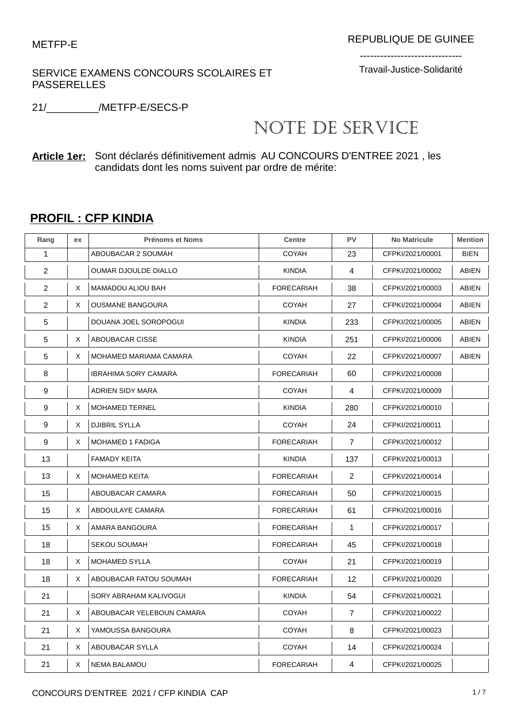SERVICE EXAMENS CONCOURS SCOLAIRES ET PASSERELLES

------------------------------ Travail-Justice-Solidarité

21/\_\_\_\_\_\_\_\_\_/METFP-E/SECS-P

## NOTE DE SERVICE

**Article 1er:** Sont déclarés définitivement admis AU CONCOURS D'ENTREE 2021 , les candidats dont les noms suivent par ordre de mérite:

## **PROFIL : CFP KINDIA**

| Rang           | ex | <b>Prénoms et Noms</b>      | <b>Centre</b>     | <b>PV</b>      | <b>No Matricule</b> | <b>Mention</b> |
|----------------|----|-----------------------------|-------------------|----------------|---------------------|----------------|
| 1              |    | ABOUBACAR 2 SOUMAH          | <b>COYAH</b>      | 23             | CFPKI/2021/00001    | <b>BIEN</b>    |
| $\overline{2}$ |    | <b>OUMAR DJOULDE DIALLO</b> | <b>KINDIA</b>     | 4              | CFPKI/2021/00002    | <b>ABIEN</b>   |
| 2              | X  | MAMADOU ALIOU BAH           | <b>FORECARIAH</b> | 38             | CFPKI/2021/00003    | <b>ABIEN</b>   |
| $\overline{2}$ | X  | OUSMANE BANGOURA            | <b>COYAH</b>      | 27             | CFPKI/2021/00004    | <b>ABIEN</b>   |
| 5              |    | DOUANA JOEL SOROPOGUI       | <b>KINDIA</b>     | 233            | CFPKI/2021/00005    | <b>ABIEN</b>   |
| 5              | Χ  | ABOUBACAR CISSE             | <b>KINDIA</b>     | 251            | CFPKI/2021/00006    | <b>ABIEN</b>   |
| 5              | Χ  | MOHAMED MARIAMA CAMARA      | <b>COYAH</b>      | 22             | CFPKI/2021/00007    | ABIEN          |
| 8              |    | <b>IBRAHIMA SORY CAMARA</b> | <b>FORECARIAH</b> | 60             | CFPKI/2021/00008    |                |
| 9              |    | ADRIEN SIDY MARA            | <b>COYAH</b>      | 4              | CFPKI/2021/00009    |                |
| 9              | X  | <b>MOHAMED TERNEL</b>       | <b>KINDIA</b>     | 280            | CFPKI/2021/00010    |                |
| 9              | X  | <b>DJIBRIL SYLLA</b>        | <b>COYAH</b>      | 24             | CFPKI/2021/00011    |                |
| 9              | Χ  | <b>MOHAMED 1 FADIGA</b>     | <b>FORECARIAH</b> | $\overline{7}$ | CFPKI/2021/00012    |                |
| 13             |    | <b>FAMADY KEITA</b>         | <b>KINDIA</b>     | 137            | CFPKI/2021/00013    |                |
| 13             | X  | <b>MOHAMED KEITA</b>        | <b>FORECARIAH</b> | $\overline{2}$ | CFPKI/2021/00014    |                |
| 15             |    | ABOUBACAR CAMARA            | <b>FORECARIAH</b> | 50             | CFPKI/2021/00015    |                |
| 15             | X  | ABDOULAYE CAMARA            | <b>FORECARIAH</b> | 61             | CFPKI/2021/00016    |                |
| 15             | Χ  | AMARA BANGOURA              | <b>FORECARIAH</b> | 1              | CFPKI/2021/00017    |                |
| 18             |    | <b>SEKOU SOUMAH</b>         | <b>FORECARIAH</b> | 45             | CFPKI/2021/00018    |                |
| 18             | X  | <b>MOHAMED SYLLA</b>        | <b>COYAH</b>      | 21             | CFPKI/2021/00019    |                |
| 18             | Χ  | ABOUBACAR FATOU SOUMAH      | <b>FORECARIAH</b> | 12             | CFPKI/2021/00020    |                |
| 21             |    | SORY ABRAHAM KALIVOGUI      | <b>KINDIA</b>     | 54             | CFPKI/2021/00021    |                |
| 21             | X  | ABOUBACAR YELEBOUN CAMARA   | <b>COYAH</b>      | $\overline{7}$ | CFPKI/2021/00022    |                |
| 21             | Χ  | YAMOUSSA BANGOURA           | <b>COYAH</b>      | 8              | CFPKI/2021/00023    |                |
| 21             | Χ  | ABOUBACAR SYLLA             | <b>COYAH</b>      | 14             | CFPKI/2021/00024    |                |
| 21             | X  | NEMA BALAMOU                | <b>FORECARIAH</b> | 4              | CFPKI/2021/00025    |                |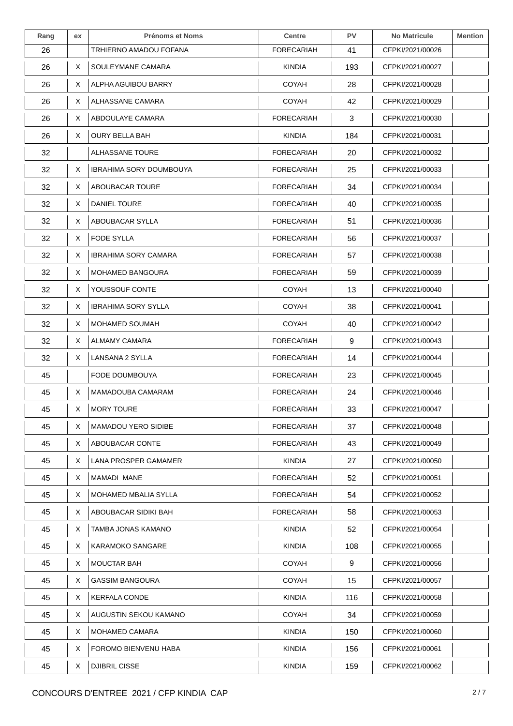| Rang | ex | <b>Prénoms et Noms</b>      | <b>Centre</b>     | <b>PV</b> | <b>No Matricule</b> | <b>Mention</b> |
|------|----|-----------------------------|-------------------|-----------|---------------------|----------------|
| 26   |    | TRHIERNO AMADOU FOFANA      | <b>FORECARIAH</b> | 41        | CFPKI/2021/00026    |                |
| 26   | Χ  | SOULEYMANE CAMARA           | <b>KINDIA</b>     | 193       | CFPKI/2021/00027    |                |
| 26   | X  | ALPHA AGUIBOU BARRY         | <b>COYAH</b>      | 28        | CFPKI/2021/00028    |                |
| 26   | X  | ALHASSANE CAMARA            | <b>COYAH</b>      | 42        | CFPKI/2021/00029    |                |
| 26   | X  | ABDOULAYE CAMARA            | <b>FORECARIAH</b> | 3         | CFPKI/2021/00030    |                |
| 26   | Χ  | OURY BELLA BAH              | <b>KINDIA</b>     | 184       | CFPKI/2021/00031    |                |
| 32   |    | ALHASSANE TOURE             | <b>FORECARIAH</b> | 20        | CFPKI/2021/00032    |                |
| 32   | Χ  | IBRAHIMA SORY DOUMBOUYA     | <b>FORECARIAH</b> | 25        | CFPKI/2021/00033    |                |
| 32   | X  | ABOUBACAR TOURE             | <b>FORECARIAH</b> | 34        | CFPKI/2021/00034    |                |
| 32   | X  | <b>DANIEL TOURE</b>         | <b>FORECARIAH</b> | 40        | CFPKI/2021/00035    |                |
| 32   | X  | ABOUBACAR SYLLA             | <b>FORECARIAH</b> | 51        | CFPKI/2021/00036    |                |
| 32   | Χ  | <b>FODE SYLLA</b>           | <b>FORECARIAH</b> | 56        | CFPKI/2021/00037    |                |
| 32   | X  | <b>IBRAHIMA SORY CAMARA</b> | <b>FORECARIAH</b> | 57        | CFPKI/2021/00038    |                |
| 32   | X  | MOHAMED BANGOURA            | <b>FORECARIAH</b> | 59        | CFPKI/2021/00039    |                |
| 32   | X  | YOUSSOUF CONTE              | <b>COYAH</b>      | 13        | CFPKI/2021/00040    |                |
| 32   | Χ  | <b>IBRAHIMA SORY SYLLA</b>  | <b>COYAH</b>      | 38        | CFPKI/2021/00041    |                |
| 32   | X  | MOHAMED SOUMAH              | <b>COYAH</b>      | 40        | CFPKI/2021/00042    |                |
| 32   | X  | ALMAMY CAMARA               | <b>FORECARIAH</b> | 9         | CFPKI/2021/00043    |                |
| 32   | X  | LANSANA 2 SYLLA             | <b>FORECARIAH</b> | 14        | CFPKI/2021/00044    |                |
| 45   |    | <b>FODE DOUMBOUYA</b>       | <b>FORECARIAH</b> | 23        | CFPKI/2021/00045    |                |
| 45   | X  | MAMADOUBA CAMARAM           | <b>FORECARIAH</b> | 24        | CFPKI/2021/00046    |                |
| 45   | Χ  | <b>MORY TOURE</b>           | <b>FORECARIAH</b> | 33        | CFPKI/2021/00047    |                |
| 45   | X  | <b>MAMADOU YERO SIDIBE</b>  | <b>FORECARIAH</b> | 37        | CFPKI/2021/00048    |                |
| 45   | X  | ABOUBACAR CONTE             | <b>FORECARIAH</b> | 43        | CFPKI/2021/00049    |                |
| 45   | X  | <b>LANA PROSPER GAMAMER</b> | <b>KINDIA</b>     | 27        | CFPKI/2021/00050    |                |
| 45   | X  | MAMADI MANE                 | <b>FORECARIAH</b> | 52        | CFPKI/2021/00051    |                |
| 45   | X  | MOHAMED MBALIA SYLLA        | <b>FORECARIAH</b> | 54        | CFPKI/2021/00052    |                |
| 45   | X  | ABOUBACAR SIDIKI BAH        | <b>FORECARIAH</b> | 58        | CFPKI/2021/00053    |                |
| 45   | X  | TAMBA JONAS KAMANO          | <b>KINDIA</b>     | 52        | CFPKI/2021/00054    |                |
| 45   | X  | KARAMOKO SANGARE            | <b>KINDIA</b>     | 108       | CFPKI/2021/00055    |                |
| 45   | X  | <b>MOUCTAR BAH</b>          | COYAH             | 9         | CFPKI/2021/00056    |                |
| 45   | X  | <b>GASSIM BANGOURA</b>      | <b>COYAH</b>      | 15        | CFPKI/2021/00057    |                |
| 45   | X  | <b>KERFALA CONDE</b>        | <b>KINDIA</b>     | 116       | CFPKI/2021/00058    |                |
| 45   | X  | AUGUSTIN SEKOU KAMANO       | COYAH             | 34        | CFPKI/2021/00059    |                |
| 45   | X  | MOHAMED CAMARA              | <b>KINDIA</b>     | 150       | CFPKI/2021/00060    |                |
| 45   | X  | FOROMO BIENVENU HABA        | <b>KINDIA</b>     | 156       | CFPKI/2021/00061    |                |
| 45   | X  | DJIBRIL CISSE               | <b>KINDIA</b>     | 159       | CFPKI/2021/00062    |                |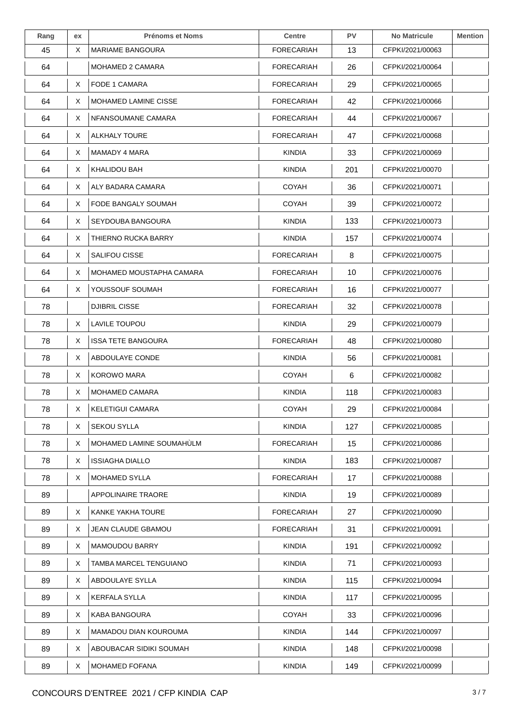| Rang | ex | <b>Prénoms et Noms</b>    | <b>Centre</b>     | <b>PV</b> | <b>No Matricule</b> | Mention |
|------|----|---------------------------|-------------------|-----------|---------------------|---------|
| 45   | X  | <b>MARIAME BANGOURA</b>   | <b>FORECARIAH</b> | 13        | CFPKI/2021/00063    |         |
| 64   |    | MOHAMED 2 CAMARA          | <b>FORECARIAH</b> | 26        | CFPKI/2021/00064    |         |
| 64   | Χ  | FODE 1 CAMARA             | FORECARIAH        | 29        | CFPKI/2021/00065    |         |
| 64   | X  | MOHAMED LAMINE CISSE      | FORECARIAH        | 42        | CFPKI/2021/00066    |         |
| 64   | X  | NFANSOUMANE CAMARA        | <b>FORECARIAH</b> | 44        | CFPKI/2021/00067    |         |
| 64   | X  | <b>ALKHALY TOURE</b>      | <b>FORECARIAH</b> | 47        | CFPKI/2021/00068    |         |
| 64   | X  | MAMADY 4 MARA             | <b>KINDIA</b>     | 33        | CFPKI/2021/00069    |         |
| 64   | X  | KHALIDOU BAH              | <b>KINDIA</b>     | 201       | CFPKI/2021/00070    |         |
| 64   | X  | ALY BADARA CAMARA         | <b>COYAH</b>      | 36        | CFPKI/2021/00071    |         |
| 64   | X  | FODE BANGALY SOUMAH       | <b>COYAH</b>      | 39        | CFPKI/2021/00072    |         |
| 64   | X  | SEYDOUBA BANGOURA         | <b>KINDIA</b>     | 133       | CFPKI/2021/00073    |         |
| 64   | X  | THIERNO RUCKA BARRY       | <b>KINDIA</b>     | 157       | CFPKI/2021/00074    |         |
| 64   | X  | SALIFOU CISSE             | <b>FORECARIAH</b> | 8         | CFPKI/2021/00075    |         |
| 64   | X  | MOHAMED MOUSTAPHA CAMARA  | <b>FORECARIAH</b> | 10        | CFPKI/2021/00076    |         |
| 64   | X  | YOUSSOUF SOUMAH           | <b>FORECARIAH</b> | 16        | CFPKI/2021/00077    |         |
| 78   |    | DJIBRIL CISSE             | <b>FORECARIAH</b> | 32        | CFPKI/2021/00078    |         |
| 78   | X  | LAVILE TOUPOU             | <b>KINDIA</b>     | 29        | CFPKI/2021/00079    |         |
| 78   | X  | <b>ISSA TETE BANGOURA</b> | <b>FORECARIAH</b> | 48        | CFPKI/2021/00080    |         |
| 78   | X  | ABDOULAYE CONDE           | <b>KINDIA</b>     | 56        | CFPKI/2021/00081    |         |
| 78   | X  | <b>KOROWO MARA</b>        | <b>COYAH</b>      | 6         | CFPKI/2021/00082    |         |
| 78   | X  | <b>MOHAMED CAMARA</b>     | KINDIA            | 118       | CFPKI/2021/00083    |         |
| 78   | X  | <b>KELETIGUI CAMARA</b>   | <b>COYAH</b>      | 29        | CFPKI/2021/00084    |         |
| 78   | X  | <b>SEKOU SYLLA</b>        | <b>KINDIA</b>     | 127       | CFPKI/2021/00085    |         |
| 78   | X  | MOHAMED LAMINE SOUMAHULM  | FORECARIAH        | 15        | CFPKI/2021/00086    |         |
| 78   | X  | <b>ISSIAGHA DIALLO</b>    | <b>KINDIA</b>     | 183       | CFPKI/2021/00087    |         |
| 78   | X  | <b>MOHAMED SYLLA</b>      | <b>FORECARIAH</b> | 17        | CFPKI/2021/00088    |         |
| 89   |    | <b>APPOLINAIRE TRAORE</b> | <b>KINDIA</b>     | 19        | CFPKI/2021/00089    |         |
| 89   | Χ  | KANKE YAKHA TOURE         | <b>FORECARIAH</b> | 27        | CFPKI/2021/00090    |         |
| 89   | X  | JEAN CLAUDE GBAMOU        | <b>FORECARIAH</b> | 31        | CFPKI/2021/00091    |         |
| 89   | X  | <b>MAMOUDOU BARRY</b>     | <b>KINDIA</b>     | 191       | CFPKI/2021/00092    |         |
| 89   | X  | TAMBA MARCEL TENGUIANO    | <b>KINDIA</b>     | 71        | CFPKI/2021/00093    |         |
| 89   | Χ  | ABDOULAYE SYLLA           | <b>KINDIA</b>     | 115       | CFPKI/2021/00094    |         |
| 89   | X  | <b>KERFALA SYLLA</b>      | <b>KINDIA</b>     | 117       | CFPKI/2021/00095    |         |
| 89   | X  | KABA BANGOURA             | COYAH             | 33        | CFPKI/2021/00096    |         |
| 89   | Χ  | MAMADOU DIAN KOUROUMA     | <b>KINDIA</b>     | 144       | CFPKI/2021/00097    |         |
| 89   | X  | ABOUBACAR SIDIKI SOUMAH   | <b>KINDIA</b>     | 148       | CFPKI/2021/00098    |         |
| 89   | X  | MOHAMED FOFANA            | <b>KINDIA</b>     | 149       | CFPKI/2021/00099    |         |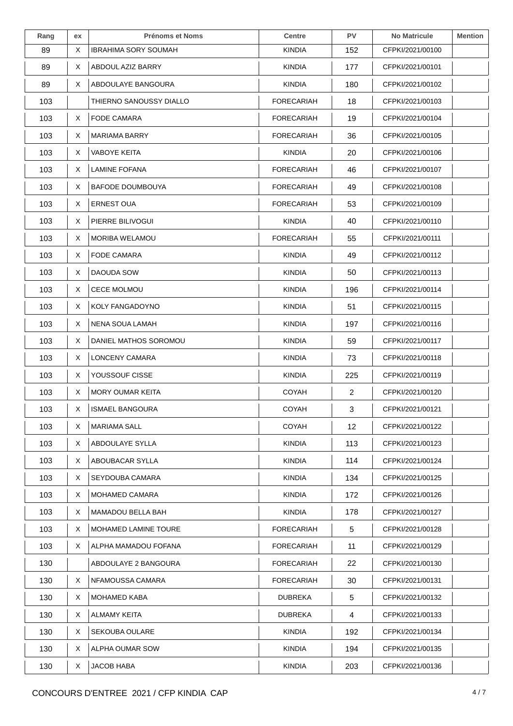| Rang | ex | <b>Prénoms et Noms</b>  | <b>Centre</b>     | <b>PV</b>      | <b>No Matricule</b> | <b>Mention</b> |
|------|----|-------------------------|-------------------|----------------|---------------------|----------------|
| 89   | X. | IBRAHIMA SORY SOUMAH    | KINDIA            | 152            | CFPKI/2021/00100    |                |
| 89   | X  | ABDOUL AZIZ BARRY       | <b>KINDIA</b>     | 177            | CFPKI/2021/00101    |                |
| 89   | X  | ABDOULAYE BANGOURA      | <b>KINDIA</b>     | 180            | CFPKI/2021/00102    |                |
| 103  |    | THIERNO SANOUSSY DIALLO | <b>FORECARIAH</b> | 18             | CFPKI/2021/00103    |                |
| 103  | X  | <b>FODE CAMARA</b>      | <b>FORECARIAH</b> | 19             | CFPKI/2021/00104    |                |
| 103  | X  | <b>MARIAMA BARRY</b>    | <b>FORECARIAH</b> | 36             | CFPKI/2021/00105    |                |
| 103  | X. | <b>VABOYE KEITA</b>     | <b>KINDIA</b>     | 20             | CFPKI/2021/00106    |                |
| 103  | X. | LAMINE FOFANA           | FORECARIAH        | 46             | CFPKI/2021/00107    |                |
| 103  | X. | <b>BAFODE DOUMBOUYA</b> | <b>FORECARIAH</b> | 49             | CFPKI/2021/00108    |                |
| 103  | X. | <b>ERNEST OUA</b>       | <b>FORECARIAH</b> | 53             | CFPKI/2021/00109    |                |
| 103  | X  | PIERRE BILIVOGUI        | <b>KINDIA</b>     | 40             | CFPKI/2021/00110    |                |
| 103  | X. | <b>MORIBA WELAMOU</b>   | <b>FORECARIAH</b> | 55             | CFPKI/2021/00111    |                |
| 103  | X  | FODE CAMARA             | <b>KINDIA</b>     | 49             | CFPKI/2021/00112    |                |
| 103  | X  | DAOUDA SOW              | <b>KINDIA</b>     | 50             | CFPKI/2021/00113    |                |
| 103  | X  | <b>CECE MOLMOU</b>      | <b>KINDIA</b>     | 196            | CFPKI/2021/00114    |                |
| 103  | X  | KOLY FANGADOYNO         | <b>KINDIA</b>     | 51             | CFPKI/2021/00115    |                |
| 103  | X. | NENA SOUA LAMAH         | <b>KINDIA</b>     | 197            | CFPKI/2021/00116    |                |
| 103  | X. | DANIEL MATHOS SOROMOU   | KINDIA            | 59             | CFPKI/2021/00117    |                |
| 103  | X  | LONCENY CAMARA          | <b>KINDIA</b>     | 73             | CFPKI/2021/00118    |                |
| 103  | X  | YOUSSOUF CISSE          | <b>KINDIA</b>     | 225            | CFPKI/2021/00119    |                |
| 103  | X. | <b>MORY OUMAR KEITA</b> | COYAH             | $\overline{2}$ | CFPKI/2021/00120    |                |
| 103  | X. | <b>ISMAEL BANGOURA</b>  | <b>COYAH</b>      | 3              | CFPKI/2021/00121    |                |
| 103  | X  | <b>MARIAMA SALL</b>     | <b>COYAH</b>      | 12             | CFPKI/2021/00122    |                |
| 103  | X  | ABDOULAYE SYLLA         | <b>KINDIA</b>     | 113            | CFPKI/2021/00123    |                |
| 103  | X  | ABOUBACAR SYLLA         | <b>KINDIA</b>     | 114            | CFPKI/2021/00124    |                |
| 103  | X. | SEYDOUBA CAMARA         | <b>KINDIA</b>     | 134            | CFPKI/2021/00125    |                |
| 103  | X  | <b>MOHAMED CAMARA</b>   | <b>KINDIA</b>     | 172            | CFPKI/2021/00126    |                |
| 103  | X. | MAMADOU BELLA BAH       | <b>KINDIA</b>     | 178            | CFPKI/2021/00127    |                |
| 103  | X  | MOHAMED LAMINE TOURE    | <b>FORECARIAH</b> | 5              | CFPKI/2021/00128    |                |
| 103  | X. | ALPHA MAMADOU FOFANA    | FORECARIAH        | 11             | CFPKI/2021/00129    |                |
| 130  |    | ABDOULAYE 2 BANGOURA    | <b>FORECARIAH</b> | 22             | CFPKI/2021/00130    |                |
| 130  | X  | NFAMOUSSA CAMARA        | <b>FORECARIAH</b> | 30             | CFPKI/2021/00131    |                |
| 130  | X  | MOHAMED KABA            | <b>DUBREKA</b>    | 5              | CFPKI/2021/00132    |                |
| 130  | X. | ALMAMY KEITA            | <b>DUBREKA</b>    | 4              | CFPKI/2021/00133    |                |
| 130  | X  | <b>SEKOUBA OULARE</b>   | <b>KINDIA</b>     | 192            | CFPKI/2021/00134    |                |
| 130  | X. | ALPHA OUMAR SOW         | <b>KINDIA</b>     | 194            | CFPKI/2021/00135    |                |
| 130  | X  | JACOB HABA              | <b>KINDIA</b>     | 203            | CFPKI/2021/00136    |                |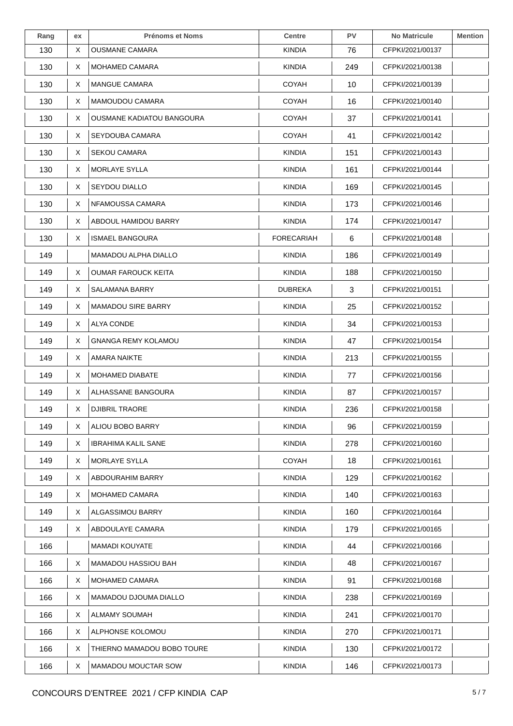| Rang | ex | <b>Prénoms et Noms</b>           | <b>Centre</b>     | <b>PV</b> | <b>No Matricule</b> | <b>Mention</b> |
|------|----|----------------------------------|-------------------|-----------|---------------------|----------------|
| 130  | X  | <b>OUSMANE CAMARA</b>            | <b>KINDIA</b>     | 76        | CFPKI/2021/00137    |                |
| 130  | X  | MOHAMED CAMARA                   | <b>KINDIA</b>     | 249       | CFPKI/2021/00138    |                |
| 130  | X  | <b>MANGUE CAMARA</b>             | <b>COYAH</b>      | 10        | CFPKI/2021/00139    |                |
| 130  | X. | MAMOUDOU CAMARA                  | <b>COYAH</b>      | 16        | CFPKI/2021/00140    |                |
| 130  | X  | <b>OUSMANE KADIATOU BANGOURA</b> | <b>COYAH</b>      | 37        | CFPKI/2021/00141    |                |
| 130  | X  | SEYDOUBA CAMARA                  | <b>COYAH</b>      | 41        | CFPKI/2021/00142    |                |
| 130  | X. | <b>SEKOU CAMARA</b>              | <b>KINDIA</b>     | 151       | CFPKI/2021/00143    |                |
| 130  | X. | <b>MORLAYE SYLLA</b>             | <b>KINDIA</b>     | 161       | CFPKI/2021/00144    |                |
| 130  | X  | SEYDOU DIALLO                    | <b>KINDIA</b>     | 169       | CFPKI/2021/00145    |                |
| 130  | X  | NFAMOUSSA CAMARA                 | <b>KINDIA</b>     | 173       | CFPKI/2021/00146    |                |
| 130  | X  | ABDOUL HAMIDOU BARRY             | <b>KINDIA</b>     | 174       | CFPKI/2021/00147    |                |
| 130  | X  | <b>ISMAEL BANGOURA</b>           | <b>FORECARIAH</b> | 6         | CFPKI/2021/00148    |                |
| 149  |    | <b>MAMADOU ALPHA DIALLO</b>      | <b>KINDIA</b>     | 186       | CFPKI/2021/00149    |                |
| 149  | X  | <b>OUMAR FAROUCK KEITA</b>       | <b>KINDIA</b>     | 188       | CFPKI/2021/00150    |                |
| 149  | X  | SALAMANA BARRY                   | <b>DUBREKA</b>    | 3         | CFPKI/2021/00151    |                |
| 149  | X  | <b>MAMADOU SIRE BARRY</b>        | <b>KINDIA</b>     | 25        | CFPKI/2021/00152    |                |
| 149  | X. | ALYA CONDE                       | <b>KINDIA</b>     | 34        | CFPKI/2021/00153    |                |
| 149  | X. | <b>GNANGA REMY KOLAMOU</b>       | <b>KINDIA</b>     | 47        | CFPKI/2021/00154    |                |
| 149  | X  | <b>AMARA NAIKTE</b>              | <b>KINDIA</b>     | 213       | CFPKI/2021/00155    |                |
| 149  | X. | MOHAMED DIABATE                  | <b>KINDIA</b>     | 77        | CFPKI/2021/00156    |                |
| 149  | X. | ALHASSANE BANGOURA               | KINDIA            | 87        | CFPKI/2021/00157    |                |
| 149  | X  | <b>DJIBRIL TRAORE</b>            | <b>KINDIA</b>     | 236       | CFPKI/2021/00158    |                |
| 149  | X. | ALIOU BOBO BARRY                 | <b>KINDIA</b>     | 96        | CFPKI/2021/00159    |                |
| 149  | X. | IBRAHIMA KALIL SANE              | <b>KINDIA</b>     | 278       | CFPKI/2021/00160    |                |
| 149  | X. | <b>MORLAYE SYLLA</b>             | COYAH             | 18        | CFPKI/2021/00161    |                |
| 149  | X. | <b>ABDOURAHIM BARRY</b>          | <b>KINDIA</b>     | 129       | CFPKI/2021/00162    |                |
| 149  | X  | MOHAMED CAMARA                   | <b>KINDIA</b>     | 140       | CFPKI/2021/00163    |                |
| 149  | X  | ALGASSIMOU BARRY                 | <b>KINDIA</b>     | 160       | CFPKI/2021/00164    |                |
| 149  | X. | ABDOULAYE CAMARA                 | <b>KINDIA</b>     | 179       | CFPKI/2021/00165    |                |
| 166  |    | MAMADI KOUYATE                   | KINDIA            | 44        | CFPKI/2021/00166    |                |
| 166  | X. | MAMADOU HASSIOU BAH              | <b>KINDIA</b>     | 48        | CFPKI/2021/00167    |                |
| 166  | X  | <b>MOHAMED CAMARA</b>            | <b>KINDIA</b>     | 91        | CFPKI/2021/00168    |                |
| 166  | X  | <b>MAMADOU DJOUMA DIALLO</b>     | <b>KINDIA</b>     | 238       | CFPKI/2021/00169    |                |
| 166  | X. | ALMAMY SOUMAH                    | <b>KINDIA</b>     | 241       | CFPKI/2021/00170    |                |
| 166  | X  | ALPHONSE KOLOMOU                 | <b>KINDIA</b>     | 270       | CFPKI/2021/00171    |                |
| 166  | X  | THIERNO MAMADOU BOBO TOURE       | <b>KINDIA</b>     | 130       | CFPKI/2021/00172    |                |
| 166  | X  | MAMADOU MOUCTAR SOW              | <b>KINDIA</b>     | 146       | CFPKI/2021/00173    |                |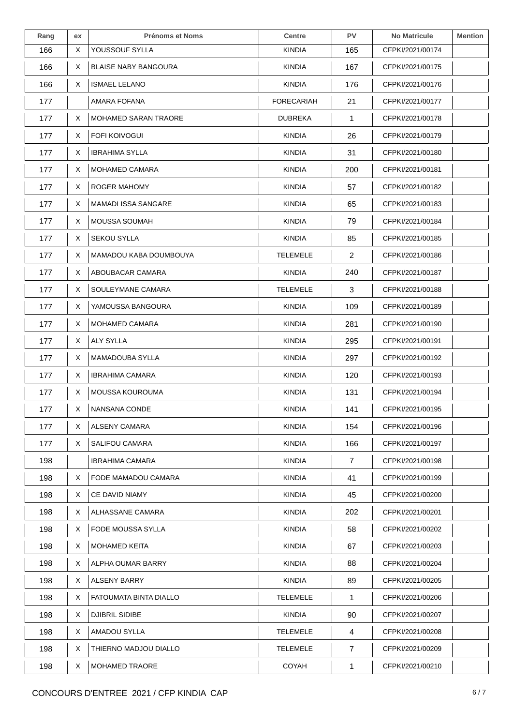| Rang | ex | <b>Prénoms et Noms</b>      | <b>Centre</b>     | <b>PV</b>    | <b>No Matricule</b> | <b>Mention</b> |
|------|----|-----------------------------|-------------------|--------------|---------------------|----------------|
| 166  | X  | YOUSSOUF SYLLA              | <b>KINDIA</b>     | 165          | CFPKI/2021/00174    |                |
| 166  | X. | <b>BLAISE NABY BANGOURA</b> | <b>KINDIA</b>     | 167          | CFPKI/2021/00175    |                |
| 166  | X  | <b>ISMAEL LELANO</b>        | <b>KINDIA</b>     | 176          | CFPKI/2021/00176    |                |
| 177  |    | AMARA FOFANA                | <b>FORECARIAH</b> | 21           | CFPKI/2021/00177    |                |
| 177  | X  | <b>MOHAMED SARAN TRAORE</b> | <b>DUBREKA</b>    | $\mathbf{1}$ | CFPKI/2021/00178    |                |
| 177  | X  | <b>FOFI KOIVOGUI</b>        | <b>KINDIA</b>     | 26           | CFPKI/2021/00179    |                |
| 177  | X. | <b>IBRAHIMA SYLLA</b>       | <b>KINDIA</b>     | 31           | CFPKI/2021/00180    |                |
| 177  | X. | <b>MOHAMED CAMARA</b>       | <b>KINDIA</b>     | 200          | CFPKI/2021/00181    |                |
| 177  | X  | <b>ROGER MAHOMY</b>         | <b>KINDIA</b>     | 57           | CFPKI/2021/00182    |                |
| 177  | X  | <b>MAMADI ISSA SANGARE</b>  | <b>KINDIA</b>     | 65           | CFPKI/2021/00183    |                |
| 177  | X. | MOUSSA SOUMAH               | <b>KINDIA</b>     | 79           | CFPKI/2021/00184    |                |
| 177  | X  | <b>SEKOU SYLLA</b>          | <b>KINDIA</b>     | 85           | CFPKI/2021/00185    |                |
| 177  | X. | MAMADOU KABA DOUMBOUYA      | <b>TELEMELE</b>   | 2            | CFPKI/2021/00186    |                |
| 177  | X  | ABOUBACAR CAMARA            | <b>KINDIA</b>     | 240          | CFPKI/2021/00187    |                |
| 177  | X  | SOULEYMANE CAMARA           | <b>TELEMELE</b>   | 3            | CFPKI/2021/00188    |                |
| 177  | X  | YAMOUSSA BANGOURA           | <b>KINDIA</b>     | 109          | CFPKI/2021/00189    |                |
| 177  | X. | <b>MOHAMED CAMARA</b>       | <b>KINDIA</b>     | 281          | CFPKI/2021/00190    |                |
| 177  | X. | <b>ALY SYLLA</b>            | <b>KINDIA</b>     | 295          | CFPKI/2021/00191    |                |
| 177  | X  | MAMADOUBA SYLLA             | <b>KINDIA</b>     | 297          | CFPKI/2021/00192    |                |
| 177  | X  | <b>IBRAHIMA CAMARA</b>      | <b>KINDIA</b>     | 120          | CFPKI/2021/00193    |                |
| 177  | X. | MOUSSA KOUROUMA             | KINDIA            | 131          | CFPKI/2021/00194    |                |
| 177  | X  | NANSANA CONDE               | <b>KINDIA</b>     | 141          | CFPKI/2021/00195    |                |
| 177  | X. | ALSENY CAMARA               | <b>KINDIA</b>     | 154          | CFPKI/2021/00196    |                |
| 177  | X. | SALIFOU CAMARA              | <b>KINDIA</b>     | 166          | CFPKI/2021/00197    |                |
| 198  |    | <b>IBRAHIMA CAMARA</b>      | <b>KINDIA</b>     | 7            | CFPKI/2021/00198    |                |
| 198  | X  | FODE MAMADOU CAMARA         | <b>KINDIA</b>     | 41           | CFPKI/2021/00199    |                |
| 198  | X. | CE DAVID NIAMY              | <b>KINDIA</b>     | 45           | CFPKI/2021/00200    |                |
| 198  | X. | ALHASSANE CAMARA            | <b>KINDIA</b>     | 202          | CFPKI/2021/00201    |                |
| 198  | X. | FODE MOUSSA SYLLA           | <b>KINDIA</b>     | 58           | CFPKI/2021/00202    |                |
| 198  | X. | <b>MOHAMED KEITA</b>        | <b>KINDIA</b>     | 67           | CFPKI/2021/00203    |                |
| 198  | X. | ALPHA OUMAR BARRY           | <b>KINDIA</b>     | 88           | CFPKI/2021/00204    |                |
| 198  | X  | <b>ALSENY BARRY</b>         | <b>KINDIA</b>     | 89           | CFPKI/2021/00205    |                |
| 198  | X. | FATOUMATA BINTA DIALLO      | <b>TELEMELE</b>   | 1            | CFPKI/2021/00206    |                |
| 198  | X. | DJIBRIL SIDIBE              | <b>KINDIA</b>     | 90           | CFPKI/2021/00207    |                |
| 198  | X  | AMADOU SYLLA                | <b>TELEMELE</b>   | 4            | CFPKI/2021/00208    |                |
| 198  | X  | THIERNO MADJOU DIALLO       | TELEMELE          | 7            | CFPKI/2021/00209    |                |
| 198  | X  | MOHAMED TRAORE              | COYAH             | 1            | CFPKI/2021/00210    |                |